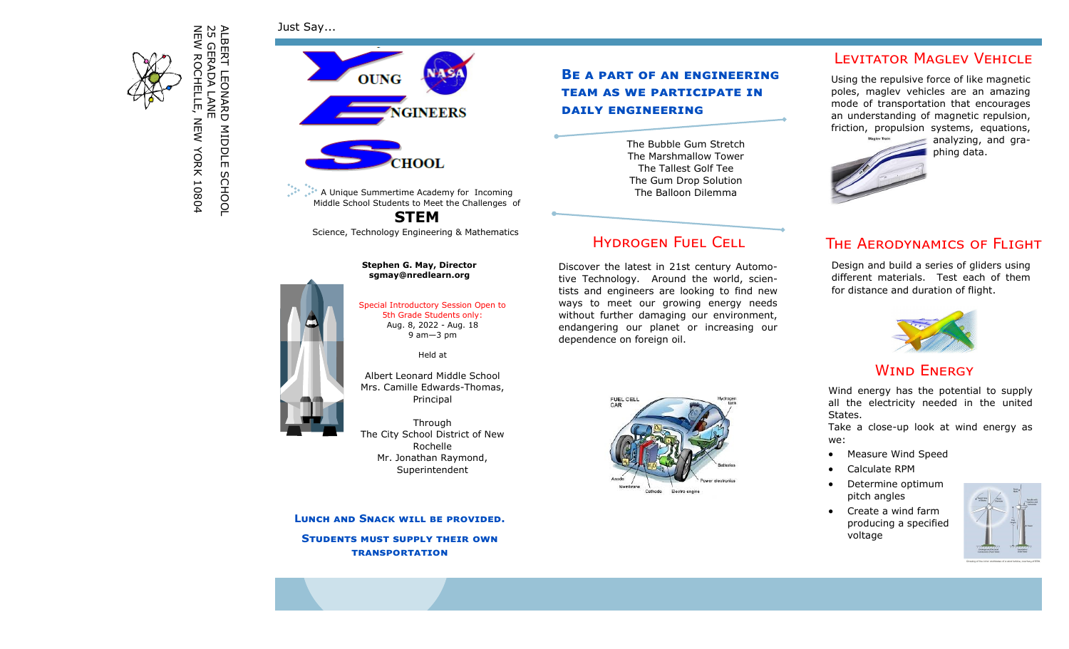Just Say...



ALBERT LEONARD MIDDLE SCHOOL<br>25 GERADA LANE<br>NEW ROCHELLE, NEW YORK 10804 ALBERT LEONARD MIDDLE SCHOOL NEW ROCHELLE, NEW YORK 10804 25 GERADA LANE



A Unique Summertime Academy for Incoming Middle School Students to Meet the Challenges of

**STEM** Science, Technology Engineering & Mathematics

# **Stephen G. May, Director sgmay@nredlearn.org** Special Introductory Session Open to 5th Grade Students only: Aug. 8, 2022 - Aug. 18

#### 9 am—3 pm

Held at

Albert Leonard Middle School Mrs. Camille Edwards-Thomas, Principal

Through The City School District of New Rochelle Mr. Jonathan Raymond, Superintendent

**Lunch and Snack will be provided. Students must supply their own** 

**transportation**

### **Be a part of an engineering team as we participate in daily engineering**

The Bubble Gum Stretch The Marshmallow Tower The Tallest Golf Tee The Gum Drop Solution The Balloon Dilemma

## Hydrogen Fuel Cell

Discover the latest in 21st century Automotive Technology. Around the world, scientists and engineers are looking to find new ways to meet our growing energy needs without further damaging our environment, endangering our planet or increasing our dependence on foreign oil.



**LEVITATOR MAGLEV VEHICLE** 

Using the repulsive force of like magnetic poles, maglev vehicles are an amazing mode of transportation that encourages an understanding of magnetic repulsion, friction, propulsion systems, equations,



# The Aerodynamics of Flight

Design and build a series of gliders using different materials. Test each of them for distance and duration of flight.



### **WIND ENERGY**

Wind energy has the potential to supply all the electricity needed in the united States.

Take a close-up look at wind energy as we:

- Measure Wind Speed
- Calculate RPM
- Determine optimum pitch angles
- Create a wind farm producing a specified voltage